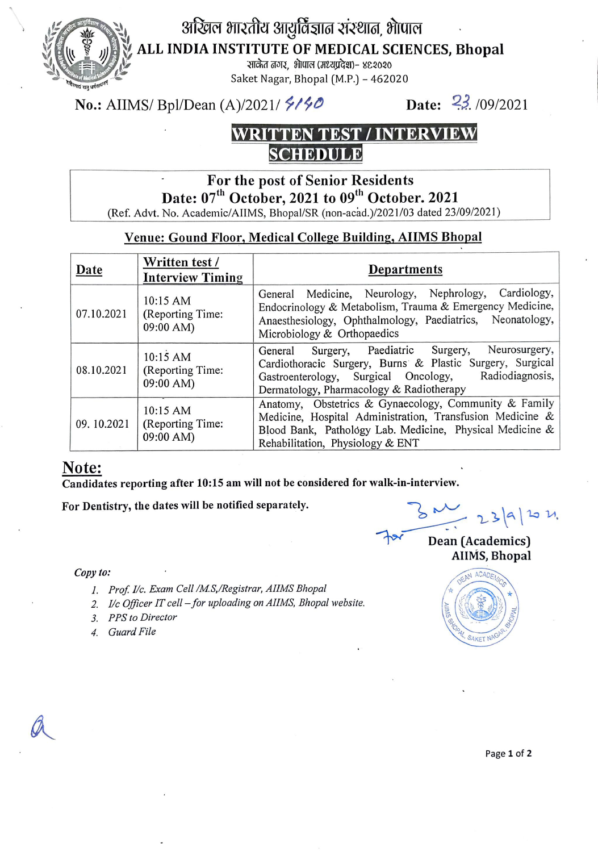

अखिल भारतीय आयुर्विज्ञात संस्थात, भोपाल

ALL INDIA INSTITUTE OF MEDICAL SCIENCES, Bhopal

रात्रेत तगर, भोपाल (मध्यप्रदेश)- ४९२०२० Saket Nagar, Bhopal (M.P.) - 462020

No.: AIIMS/ Bpl/Dean (A)/2021/  $\frac{6}{5}$ / $\frac{6}{5}$  Date:  $\frac{23}{5}$ /09/2021

### WRITTEN TEST /INTERVIEW SCHEDULE

## For the post of Senior Residents Date: 07<sup>th</sup> October, 2021 to 09<sup>th</sup> October. 2021

(Ref. Advt. No. Academic/AIIMS, Bhopal/SR (non-acad.)/2021/03 dated 23/09/2021)

### Venue: Gound Floor, Medical College Building, AIIMS Bhopal

| Date       | Written test /<br><b>Interview Timing</b> | Departments                                                                                                                                                                                                         |
|------------|-------------------------------------------|---------------------------------------------------------------------------------------------------------------------------------------------------------------------------------------------------------------------|
| 07.10.2021 | 10:15 AM<br>(Reporting Time:<br>09:00 AM) | General Medicine, Neurology, Nephrology, Cardiology,<br>Endocrinology & Metabolism, Trauma & Emergency Medicine,<br>Anaesthesiology, Ophthalmology, Paediatrics, Neonatology,<br>Microbiology & Orthopaedics        |
| 08.10.2021 | 10:15 AM<br>(Reporting Time:<br>09:00 AM) | General Surgery, Paediatric Surgery, Neurosurgery,<br>Cardiothoracic Surgery, Burns & Plastic Surgery, Surgical<br>Gastroenterology, Surgical Oncology, Radiodiagnosis,<br>Dermatology, Pharmacology & Radiotherapy |
| 09.10.2021 | 10:15 AM<br>(Reporting Time:<br>09:00 AM) | Anatomy, Obstetrics & Gynaecology, Community & Family<br>Medicine, Hospital Administration, Transfusion Medicine &<br>Blood Bank, Pathology Lab. Medicine, Physical Medicine &<br>Rehabilitation, Physiology & ENT  |

### Note:

Candidates reporting after 10:15 am will not be considered for walk-in-interview.

For Dentistry, the dates will be notified separately.

- **Copy to:**<br>
1. Prof. I/c. Exam Cell /M.S,/Registrar, AIIMS Bhopal<br>
1. Prof. I/c. Exam Cell /M.S,/Registrar, AIIMS Bhopal
	- 2. I/c Officer IT cell for uploading on AIIMS, Bhopal website.
	- 3. PPS to Director
	-

 $-23|9|1011$ 

Dean (Academics) AlIMS, Bhopal



Page 1 of 2